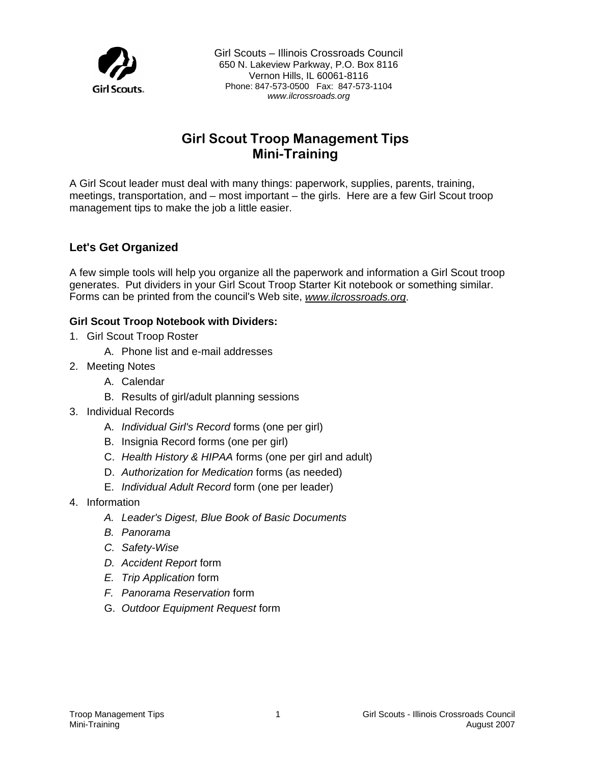

Girl Scouts – Illinois Crossroads Council 650 N. Lakeview Parkway, P.O. Box 8116 Vernon Hills, IL 60061-8116 Phone: 847-573-0500 Fax: 847-573-1104 *www.ilcrossroads.org* 

# **Girl Scout Troop Management Tips Mini-Training**

A Girl Scout leader must deal with many things: paperwork, supplies, parents, training, meetings, transportation, and – most important – the girls. Here are a few Girl Scout troop management tips to make the job a little easier.

### **Let's Get Organized**

A few simple tools will help you organize all the paperwork and information a Girl Scout troop generates. Put dividers in your Girl Scout Troop Starter Kit notebook or something similar. Forms can be printed from the council's Web site, *www.ilcrossroads.org*.

### **Girl Scout Troop Notebook with Dividers:**

- 1. Girl Scout Troop Roster
	- A. Phone list and e-mail addresses
- 2. Meeting Notes
	- A. Calendar
	- B. Results of girl/adult planning sessions
- 3. Individual Records
	- A. *Individual Girl's Record* forms (one per girl)
	- B. Insignia Record forms (one per girl)
	- C. *Health History & HIPAA* forms (one per girl and adult)
	- D. *Authorization for Medication* forms (as needed)
	- E. *Individual Adult Record* form (one per leader)
- 4. Information
	- *A. Leader's Digest, Blue Book of Basic Documents*
	- *B. Panorama*
	- *C. Safety-Wise*
	- *D. Accident Report* form
	- *E. Trip Application* form
	- *F. Panorama Reservation* form
	- G. *Outdoor Equipment Request* form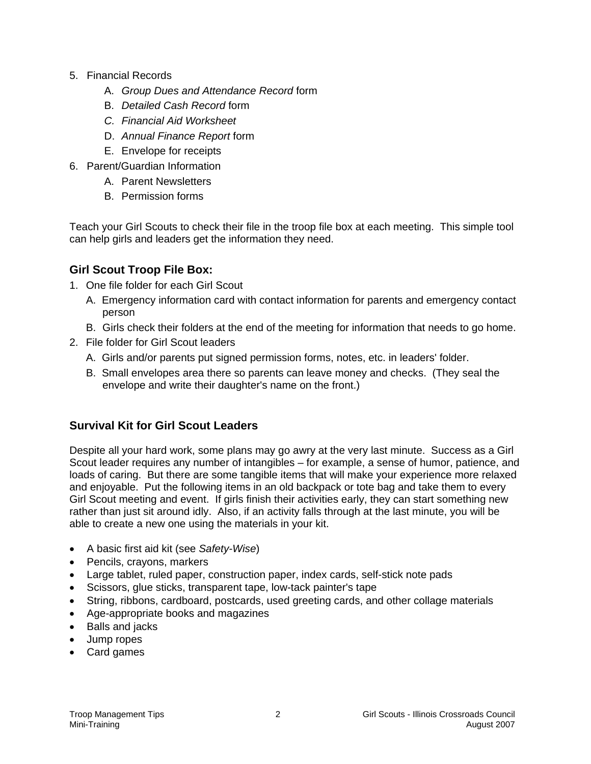- 5. Financial Records
	- A. *Group Dues and Attendance Record* form
	- B. *Detailed Cash Record* form
	- *C. Financial Aid Worksheet*
	- D. *Annual Finance Report* form
	- E. Envelope for receipts
- 6. Parent/Guardian Information
	- A. Parent Newsletters
	- B. Permission forms

Teach your Girl Scouts to check their file in the troop file box at each meeting. This simple tool can help girls and leaders get the information they need.

# **Girl Scout Troop File Box:**

- 1. One file folder for each Girl Scout
	- A. Emergency information card with contact information for parents and emergency contact person
	- B. Girls check their folders at the end of the meeting for information that needs to go home.
- 2. File folder for Girl Scout leaders
	- A. Girls and/or parents put signed permission forms, notes, etc. in leaders' folder.
	- B. Small envelopes area there so parents can leave money and checks. (They seal the envelope and write their daughter's name on the front.)

# **Survival Kit for Girl Scout Leaders**

Despite all your hard work, some plans may go awry at the very last minute. Success as a Girl Scout leader requires any number of intangibles – for example, a sense of humor, patience, and loads of caring. But there are some tangible items that will make your experience more relaxed and enjoyable. Put the following items in an old backpack or tote bag and take them to every Girl Scout meeting and event. If girls finish their activities early, they can start something new rather than just sit around idly. Also, if an activity falls through at the last minute, you will be able to create a new one using the materials in your kit.

- A basic first aid kit (see *Safety-Wise*)
- Pencils, crayons, markers
- Large tablet, ruled paper, construction paper, index cards, self-stick note pads
- Scissors, glue sticks, transparent tape, low-tack painter's tape
- String, ribbons, cardboard, postcards, used greeting cards, and other collage materials
- Age-appropriate books and magazines
- Balls and jacks
- Jump ropes
- Card games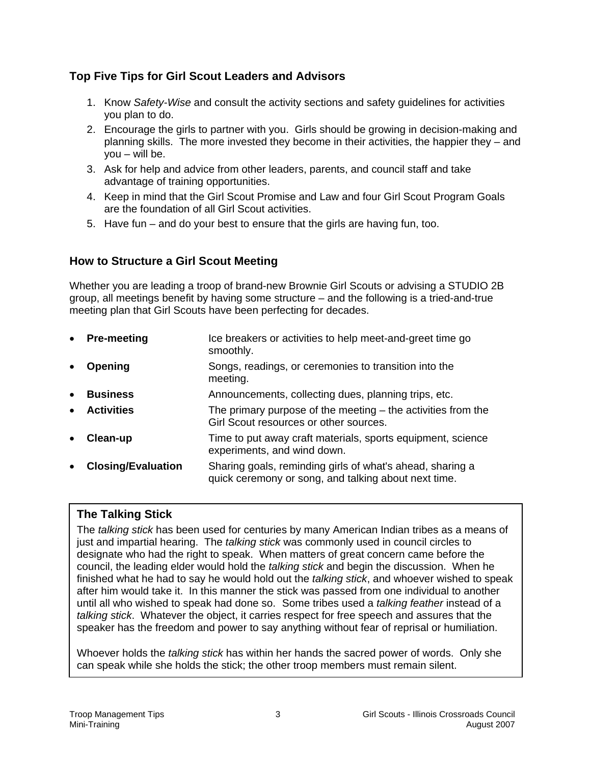# **Top Five Tips for Girl Scout Leaders and Advisors**

- 1. Know *Safety-Wise* and consult the activity sections and safety guidelines for activities you plan to do.
- 2. Encourage the girls to partner with you. Girls should be growing in decision-making and planning skills. The more invested they become in their activities, the happier they – and you – will be.
- 3. Ask for help and advice from other leaders, parents, and council staff and take advantage of training opportunities.
- 4. Keep in mind that the Girl Scout Promise and Law and four Girl Scout Program Goals are the foundation of all Girl Scout activities.
- 5. Have fun and do your best to ensure that the girls are having fun, too.

# **How to Structure a Girl Scout Meeting**

Whether you are leading a troop of brand-new Brownie Girl Scouts or advising a STUDIO 2B group, all meetings benefit by having some structure – and the following is a tried-and-true meeting plan that Girl Scouts have been perfecting for decades.

**Pre-meeting Ice breakers or activities to help meet-and-greet time go**  smoothly. **Opening Songs, readings, or ceremonies to transition into the**  meeting. • **Business** Announcements, collecting dues, planning trips, etc. • **Activities** The primary purpose of the meeting – the activities from the Girl Scout resources or other sources. **Clean-up Time to put away craft materials, sports equipment, science**  experiments, and wind down. • **Closing/Evaluation** Sharing goals, reminding girls of what's ahead, sharing a quick ceremony or song, and talking about next time.

# **The Talking Stick**

The *talking stick* has been used for centuries by many American Indian tribes as a means of just and impartial hearing. The *talking stick* was commonly used in council circles to designate who had the right to speak. When matters of great concern came before the council, the leading elder would hold the *talking stick* and begin the discussion. When he finished what he had to say he would hold out the *talking stick*, and whoever wished to speak after him would take it. In this manner the stick was passed from one individual to another until all who wished to speak had done so.Some tribes used a *talking feather* instead of a *talking stick*. Whatever the object, it carries respect for free speech and assures that the speaker has the freedom and power to say anything without fear of reprisal or humiliation.

Whoever holds the *talking stick* has within her hands the sacred power of words. Only she can speak while she holds the stick; the other troop members must remain silent.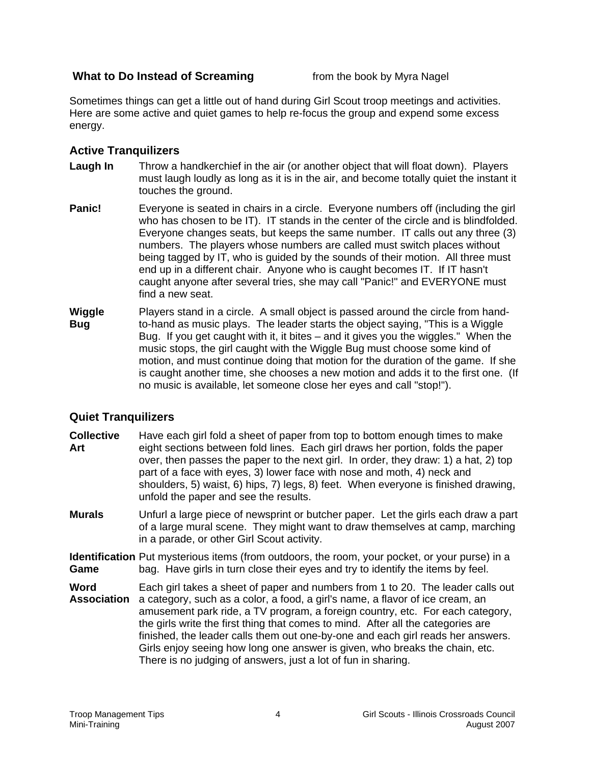### **What to Do Instead of Screaming** from the book by Myra Nagel

Sometimes things can get a little out of hand during Girl Scout troop meetings and activities. Here are some active and quiet games to help re-focus the group and expend some excess energy.

### **Active Tranquilizers**

- **Laugh In** Throw a handkerchief in the air (or another object that will float down). Players must laugh loudly as long as it is in the air, and become totally quiet the instant it touches the ground.
- **Panic!** Everyone is seated in chairs in a circle. Everyone numbers off (including the girl who has chosen to be IT). IT stands in the center of the circle and is blindfolded. Everyone changes seats, but keeps the same number. IT calls out any three (3) numbers. The players whose numbers are called must switch places without being tagged by IT, who is guided by the sounds of their motion. All three must end up in a different chair. Anyone who is caught becomes IT. If IT hasn't caught anyone after several tries, she may call "Panic!" and EVERYONE must find a new seat.
- **Wiggle** Players stand in a circle. A small object is passed around the circle from hand-**Bug** to-hand as music plays. The leader starts the object saying, "This is a Wiggle Bug. If you get caught with it, it bites – and it gives you the wiggles." When the music stops, the girl caught with the Wiggle Bug must choose some kind of motion, and must continue doing that motion for the duration of the game. If she is caught another time, she chooses a new motion and adds it to the first one. (If no music is available, let someone close her eyes and call "stop!").

### **Quiet Tranquilizers**

- **Collective** Have each girl fold a sheet of paper from top to bottom enough times to make Art eight sections between fold lines. Each girl draws her portion, folds the paper over, then passes the paper to the next girl. In order, they draw: 1) a hat, 2) top part of a face with eyes, 3) lower face with nose and moth, 4) neck and shoulders, 5) waist, 6) hips, 7) legs, 8) feet. When everyone is finished drawing, unfold the paper and see the results.
- **Murals** Unfurl a large piece of newsprint or butcher paper. Let the girls each draw a part of a large mural scene. They might want to draw themselves at camp, marching in a parade, or other Girl Scout activity.
- **Identification** Put mysterious items (from outdoors, the room, your pocket, or your purse) in a **Game** bag. Have girls in turn close their eyes and try to identify the items by feel.
- **Word** Each girl takes a sheet of paper and numbers from 1 to 20. The leader calls out **Association** a category, such as a color, a food, a girl's name, a flavor of ice cream, an amusement park ride, a TV program, a foreign country, etc. For each category, the girls write the first thing that comes to mind. After all the categories are finished, the leader calls them out one-by-one and each girl reads her answers. Girls enjoy seeing how long one answer is given, who breaks the chain, etc. There is no judging of answers, just a lot of fun in sharing.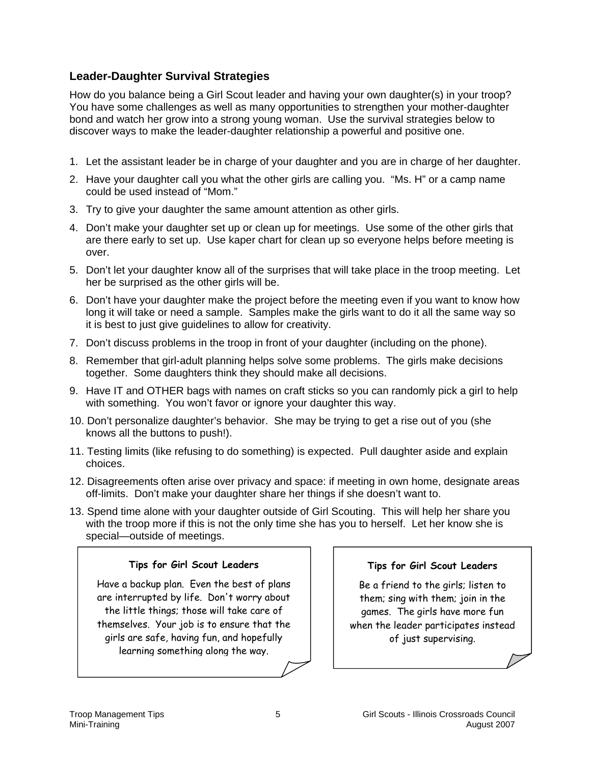# **Leader-Daughter Survival Strategies**

How do you balance being a Girl Scout leader and having your own daughter(s) in your troop? You have some challenges as well as many opportunities to strengthen your mother-daughter bond and watch her grow into a strong young woman. Use the survival strategies below to discover ways to make the leader-daughter relationship a powerful and positive one.

- 1. Let the assistant leader be in charge of your daughter and you are in charge of her daughter.
- 2. Have your daughter call you what the other girls are calling you. "Ms. H" or a camp name could be used instead of "Mom."
- 3. Try to give your daughter the same amount attention as other girls.
- 4. Don't make your daughter set up or clean up for meetings. Use some of the other girls that are there early to set up. Use kaper chart for clean up so everyone helps before meeting is over.
- 5. Don't let your daughter know all of the surprises that will take place in the troop meeting. Let her be surprised as the other girls will be.
- 6. Don't have your daughter make the project before the meeting even if you want to know how long it will take or need a sample. Samples make the girls want to do it all the same way so it is best to just give guidelines to allow for creativity.
- 7. Don't discuss problems in the troop in front of your daughter (including on the phone).
- 8. Remember that girl-adult planning helps solve some problems. The girls make decisions together. Some daughters think they should make all decisions.
- 9. Have IT and OTHER bags with names on craft sticks so you can randomly pick a girl to help with something. You won't favor or ignore your daughter this way.
- 10. Don't personalize daughter's behavior. She may be trying to get a rise out of you (she knows all the buttons to push!).
- 11. Testing limits (like refusing to do something) is expected. Pull daughter aside and explain choices.
- 12. Disagreements often arise over privacy and space: if meeting in own home, designate areas off-limits. Don't make your daughter share her things if she doesn't want to.
- 13. Spend time alone with your daughter outside of Girl Scouting. This will help her share you with the troop more if this is not the only time she has you to herself. Let her know she is special—outside of meetings.

### **Tips for Girl Scout Leaders**

Have a backup plan. Even the best of plans are interrupted by life. Don't worry about the little things; those will take care of themselves. Your job is to ensure that the girls are safe, having fun, and hopefully learning something along the way.

#### **Tips for Girl Scout Leaders**

Be a friend to the girls; listen to them; sing with them; join in the games. The girls have more fun when the leader participates instead of just supervising.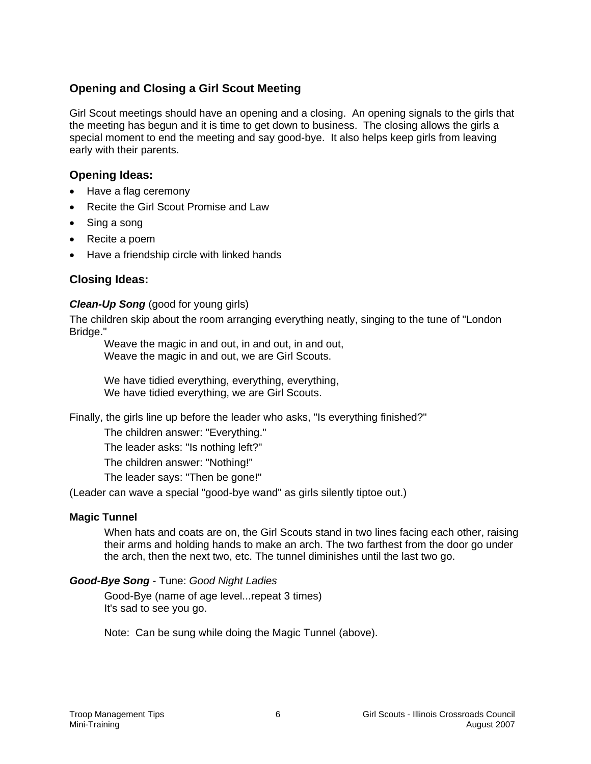# **Opening and Closing a Girl Scout Meeting**

Girl Scout meetings should have an opening and a closing. An opening signals to the girls that the meeting has begun and it is time to get down to business. The closing allows the girls a special moment to end the meeting and say good-bye. It also helps keep girls from leaving early with their parents.

## **Opening Ideas:**

- Have a flag ceremony
- Recite the Girl Scout Promise and Law
- Sing a song
- Recite a poem
- Have a friendship circle with linked hands

# **Closing Ideas:**

### *Clean-Up Song* (good for young girls)

The children skip about the room arranging everything neatly, singing to the tune of "London Bridge."

Weave the magic in and out, in and out, in and out, Weave the magic in and out, we are Girl Scouts.

We have tidied everything, everything, everything, We have tidied everything, we are Girl Scouts.

Finally, the girls line up before the leader who asks, "Is everything finished?"

The children answer: "Everything."

The leader asks: "Is nothing left?"

The children answer: "Nothing!"

The leader says: "Then be gone!"

(Leader can wave a special "good-bye wand" as girls silently tiptoe out.)

#### **Magic Tunnel**

When hats and coats are on, the Girl Scouts stand in two lines facing each other, raising their arms and holding hands to make an arch. The two farthest from the door go under the arch, then the next two, etc. The tunnel diminishes until the last two go.

#### *Good-Bye Song* - Tune: *Good Night Ladies*

Good-Bye (name of age level...repeat 3 times) It's sad to see you go.

Note: Can be sung while doing the Magic Tunnel (above).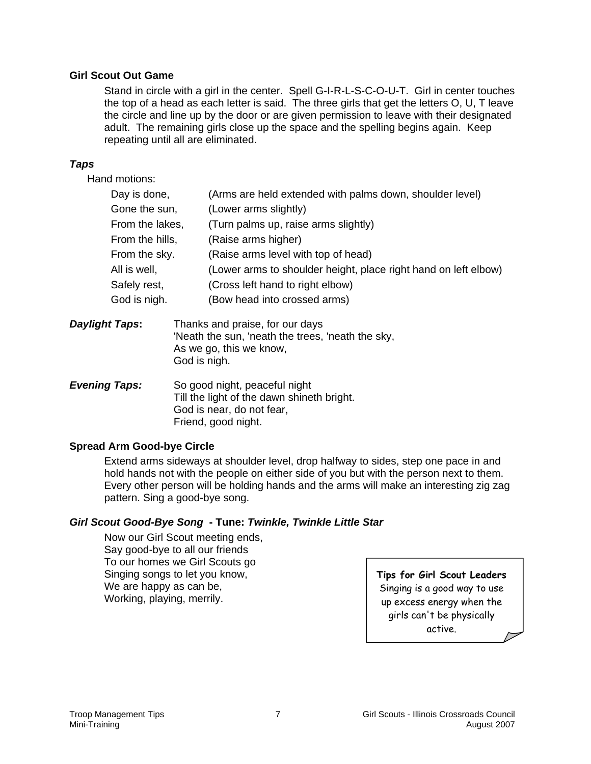#### **Girl Scout Out Game**

Stand in circle with a girl in the center. Spell G-I-R-L-S-C-O-U-T. Girl in center touches the top of a head as each letter is said. The three girls that get the letters O, U, T leave the circle and line up by the door or are given permission to leave with their designated adult. The remaining girls close up the space and the spelling begins again. Keep repeating until all are eliminated.

#### *Taps*

Hand motions:

| Day is done,    | (Arms are held extended with palms down, shoulder level)        |
|-----------------|-----------------------------------------------------------------|
| Gone the sun,   | (Lower arms slightly)                                           |
| From the lakes, | (Turn palms up, raise arms slightly)                            |
| From the hills, | (Raise arms higher)                                             |
| From the sky.   | (Raise arms level with top of head)                             |
| All is well,    | (Lower arms to shoulder height, place right hand on left elbow) |
| Safely rest,    | (Cross left hand to right elbow)                                |
| God is nigh.    | (Bow head into crossed arms)                                    |
|                 |                                                                 |

- *Daylight Taps:* Thanks and praise, for our days 'Neath the sun, 'neath the trees, 'neath the sky, As we go, this we know, God is nigh.
- *Evening Taps:* So good night, peaceful night Till the light of the dawn shineth bright. God is near, do not fear, Friend, good night.

#### **Spread Arm Good-bye Circle**

Extend arms sideways at shoulder level, drop halfway to sides, step one pace in and hold hands not with the people on either side of you but with the person next to them. Every other person will be holding hands and the arms will make an interesting zig zag pattern. Sing a good-bye song.

#### *Girl Scout Good-Bye Song* **- Tune:** *Twinkle, Twinkle Little Star*

 Now our Girl Scout meeting ends, Say good-bye to all our friends To our homes we Girl Scouts go Singing songs to let you know, We are happy as can be, Working, playing, merrily.

### **Tips for Girl Scout Leaders** Singing is a good way to use up excess energy when the girls can't be physically active.